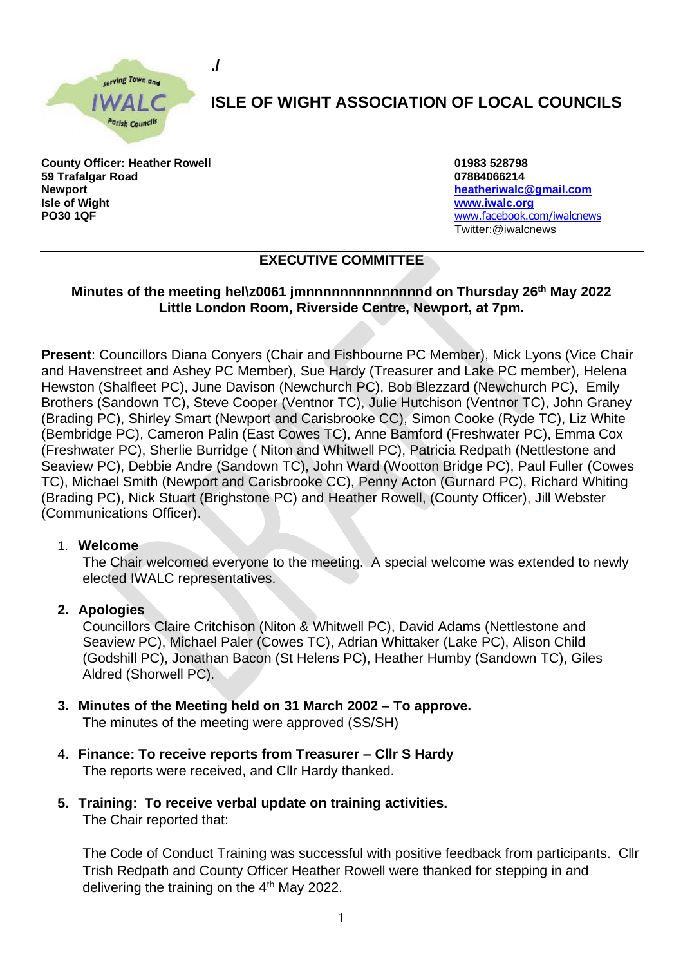

**./**

# **ISLE OF WIGHT ASSOCIATION OF LOCAL COUNCILS**

**County Officer: Heather Rowell 01983 528798 59 Trafalgar Road 07884066214 Newport [heatheriwalc@gmail.com](mailto:heatheriwalc@gmail.com) Isle of Wight [www.iwalc.org](http://www.iwalc.org/) PO30 1QF** [www.facebook.com/iwalcnews](http://www.facebook.com/iwalcnews)

Twitter:@iwalcnews

## **EXECUTIVE COMMITTEE**

### **Minutes of the meeting hel\z0061 jmnnnnnnnnnnnnnnd on Thursday 26th May 2022 Little London Room, Riverside Centre, Newport, at 7pm.**

**Present**: Councillors Diana Conyers (Chair and Fishbourne PC Member), Mick Lyons (Vice Chair and Havenstreet and Ashey PC Member), Sue Hardy (Treasurer and Lake PC member), Helena Hewston (Shalfleet PC), June Davison (Newchurch PC), Bob Blezzard (Newchurch PC), Emily Brothers (Sandown TC), Steve Cooper (Ventnor TC), Julie Hutchison (Ventnor TC), John Graney (Brading PC), Shirley Smart (Newport and Carisbrooke CC), Simon Cooke (Ryde TC), Liz White (Bembridge PC), Cameron Palin (East Cowes TC), Anne Bamford (Freshwater PC), Emma Cox (Freshwater PC), Sherlie Burridge ( Niton and Whitwell PC), Patricia Redpath (Nettlestone and Seaview PC), Debbie Andre (Sandown TC), John Ward (Wootton Bridge PC), Paul Fuller (Cowes TC), Michael Smith (Newport and Carisbrooke CC), Penny Acton (Gurnard PC), Richard Whiting (Brading PC), Nick Stuart (Brighstone PC) and Heather Rowell, (County Officer), Jill Webster (Communications Officer).

#### 1. **Welcome**

The Chair welcomed everyone to the meeting. A special welcome was extended to newly elected IWALC representatives.

#### **2. Apologies**

Councillors Claire Critchison (Niton & Whitwell PC), David Adams (Nettlestone and Seaview PC), Michael Paler (Cowes TC), Adrian Whittaker (Lake PC), Alison Child (Godshill PC), Jonathan Bacon (St Helens PC), Heather Humby (Sandown TC), Giles Aldred (Shorwell PC).

- **3. Minutes of the Meeting held on 31 March 2002 – To approve.**  The minutes of the meeting were approved (SS/SH)
- 4. **Finance: To receive reports from Treasurer – Cllr S Hardy**  The reports were received, and Cllr Hardy thanked.
- **5. Training: To receive verbal update on training activities.** The Chair reported that:

The Code of Conduct Training was successful with positive feedback from participants. Cllr Trish Redpath and County Officer Heather Rowell were thanked for stepping in and delivering the training on the 4<sup>th</sup> May 2022.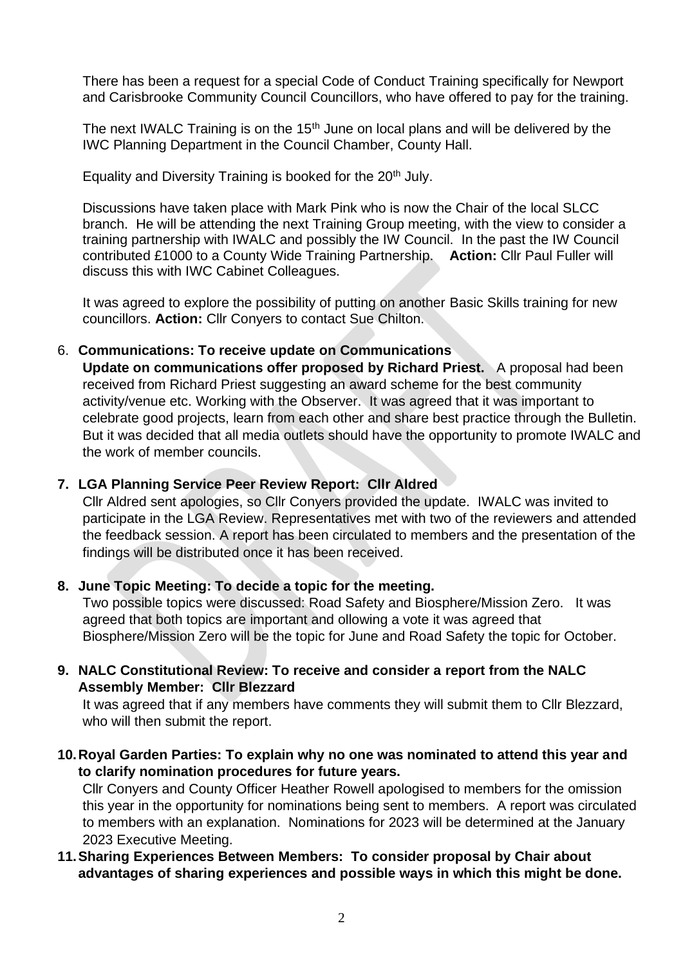There has been a request for a special Code of Conduct Training specifically for Newport and Carisbrooke Community Council Councillors, who have offered to pay for the training.

The next IWALC Training is on the  $15<sup>th</sup>$  June on local plans and will be delivered by the IWC Planning Department in the Council Chamber, County Hall.

Equality and Diversity Training is booked for the  $20<sup>th</sup>$  July.

Discussions have taken place with Mark Pink who is now the Chair of the local SLCC branch. He will be attending the next Training Group meeting, with the view to consider a training partnership with IWALC and possibly the IW Council. In the past the IW Council contributed £1000 to a County Wide Training Partnership. **Action:** Cllr Paul Fuller will discuss this with IWC Cabinet Colleagues.

It was agreed to explore the possibility of putting on another Basic Skills training for new councillors. **Action:** Cllr Conyers to contact Sue Chilton.

#### 6. **Communications: To receive update on Communications**

**Update on communications offer proposed by Richard Priest.** A proposal had been received from Richard Priest suggesting an award scheme for the best community activity/venue etc. Working with the Observer. It was agreed that it was important to celebrate good projects, learn from each other and share best practice through the Bulletin. But it was decided that all media outlets should have the opportunity to promote IWALC and the work of member councils.

## **7. LGA Planning Service Peer Review Report: Cllr Aldred**

Cllr Aldred sent apologies, so Cllr Conyers provided the update. IWALC was invited to participate in the LGA Review. Representatives met with two of the reviewers and attended the feedback session. A report has been circulated to members and the presentation of the findings will be distributed once it has been received.

#### **8. June Topic Meeting: To decide a topic for the meeting.**

Two possible topics were discussed: Road Safety and Biosphere/Mission Zero. It was agreed that both topics are important and ollowing a vote it was agreed that Biosphere/Mission Zero will be the topic for June and Road Safety the topic for October.

### **9. NALC Constitutional Review: To receive and consider a report from the NALC Assembly Member: Cllr Blezzard**

It was agreed that if any members have comments they will submit them to Cllr Blezzard, who will then submit the report.

**10.Royal Garden Parties: To explain why no one was nominated to attend this year and to clarify nomination procedures for future years.** 

Cllr Conyers and County Officer Heather Rowell apologised to members for the omission this year in the opportunity for nominations being sent to members. A report was circulated to members with an explanation. Nominations for 2023 will be determined at the January 2023 Executive Meeting.

## **11.Sharing Experiences Between Members: To consider proposal by Chair about advantages of sharing experiences and possible ways in which this might be done.**